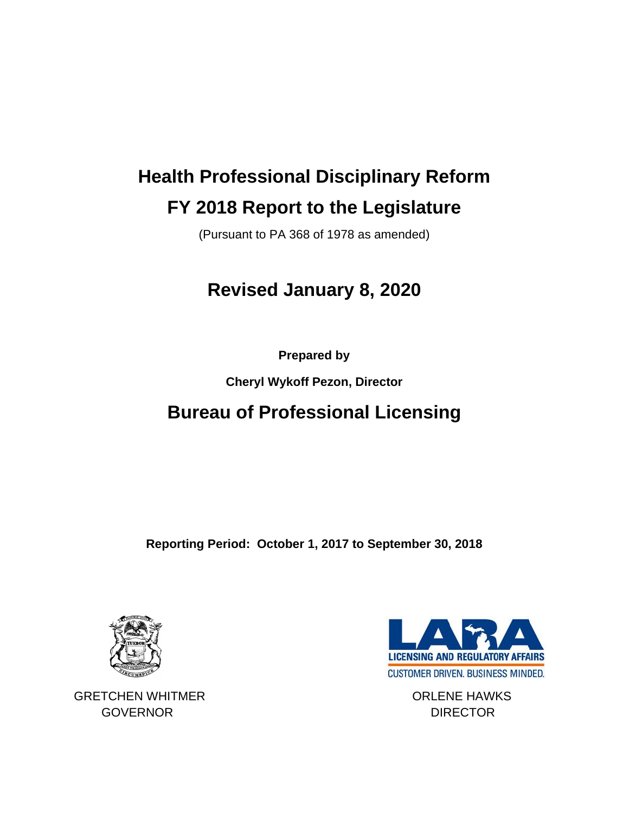# **Health Professional Disciplinary Reform FY 2018 Report to the Legislature**

(Pursuant to PA 368 of 1978 as amended)

## **Revised January 8, 2020**

**Prepared by** 

**Cheryl Wykoff Pezon, Director**

### **Bureau of Professional Licensing**

**Reporting Period: October 1, 2017 to September 30, 2018**



GRETCHEN WHITMER **CONSERVERT CONSERVERT CONSERVATION** GOVERNOR DIRECTOR

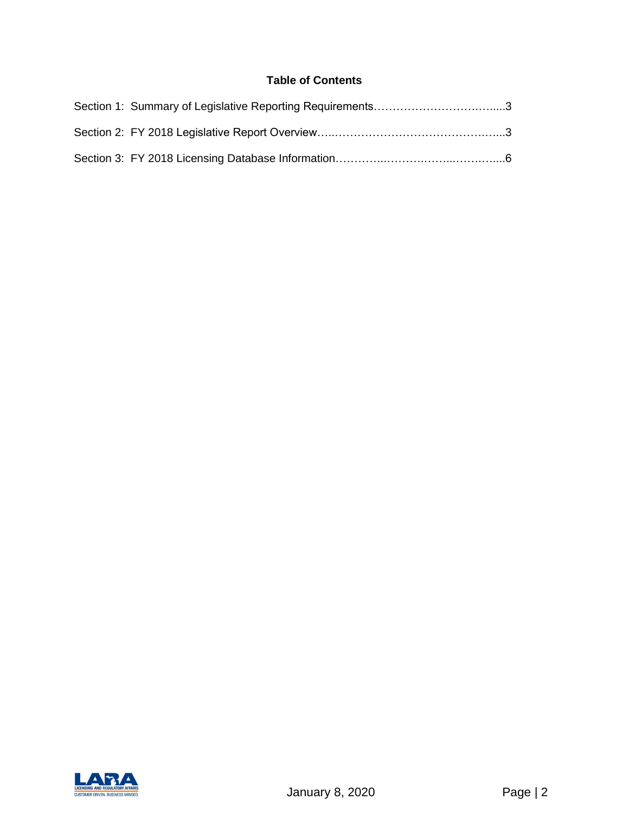#### **Table of Contents**

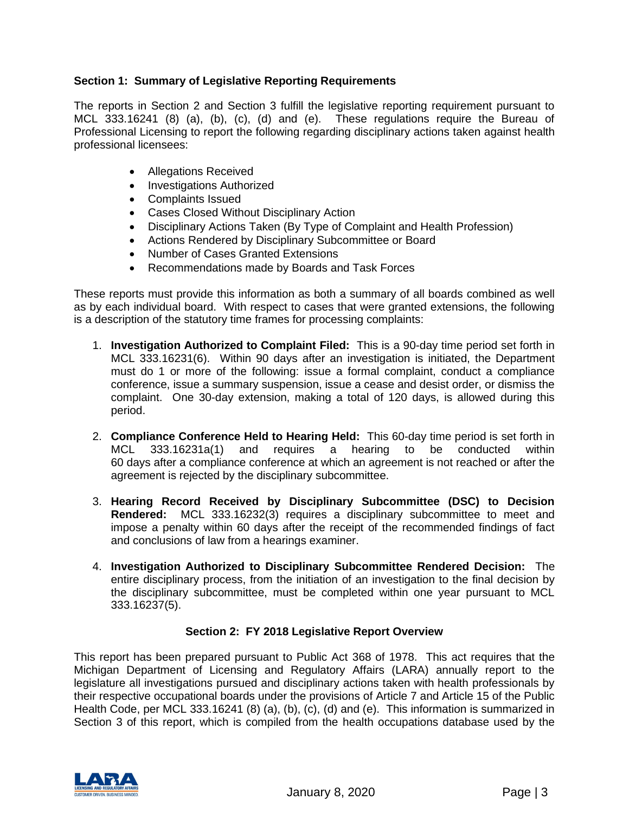#### **Section 1: Summary of Legislative Reporting Requirements**

The reports in Section 2 and Section 3 fulfill the legislative reporting requirement pursuant to MCL 333.16241 (8) (a), (b), (c), (d) and (e). These regulations require the Bureau of Professional Licensing to report the following regarding disciplinary actions taken against health professional licensees:

- Allegations Received
- Investigations Authorized
- Complaints Issued
- Cases Closed Without Disciplinary Action
- Disciplinary Actions Taken (By Type of Complaint and Health Profession)
- Actions Rendered by Disciplinary Subcommittee or Board
- Number of Cases Granted Extensions
- Recommendations made by Boards and Task Forces

These reports must provide this information as both a summary of all boards combined as well as by each individual board. With respect to cases that were granted extensions, the following is a description of the statutory time frames for processing complaints:

- 1. **Investigation Authorized to Complaint Filed:** This is a 90-day time period set forth in MCL 333.16231(6). Within 90 days after an investigation is initiated, the Department must do 1 or more of the following: issue a formal complaint, conduct a compliance conference, issue a summary suspension, issue a cease and desist order, or dismiss the complaint. One 30-day extension, making a total of 120 days, is allowed during this period.
- 2. **Compliance Conference Held to Hearing Held:** This 60-day time period is set forth in MCL 333.16231a(1) and requires a hearing to be conducted within 60 days after a compliance conference at which an agreement is not reached or after the agreement is rejected by the disciplinary subcommittee.
- 3. **Hearing Record Received by Disciplinary Subcommittee (DSC) to Decision Rendered:** MCL 333.16232(3) requires a disciplinary subcommittee to meet and impose a penalty within 60 days after the receipt of the recommended findings of fact and conclusions of law from a hearings examiner.
- 4. **Investigation Authorized to Disciplinary Subcommittee Rendered Decision:** The entire disciplinary process, from the initiation of an investigation to the final decision by the disciplinary subcommittee, must be completed within one year pursuant to MCL 333.16237(5).

#### **Section 2: FY 2018 Legislative Report Overview**

This report has been prepared pursuant to Public Act 368 of 1978. This act requires that the Michigan Department of Licensing and Regulatory Affairs (LARA) annually report to the legislature all investigations pursued and disciplinary actions taken with health professionals by their respective occupational boards under the provisions of Article 7 and Article 15 of the Public Health Code, per MCL 333.16241 (8) (a), (b), (c), (d) and (e). This information is summarized in Section 3 of this report, which is compiled from the health occupations database used by the

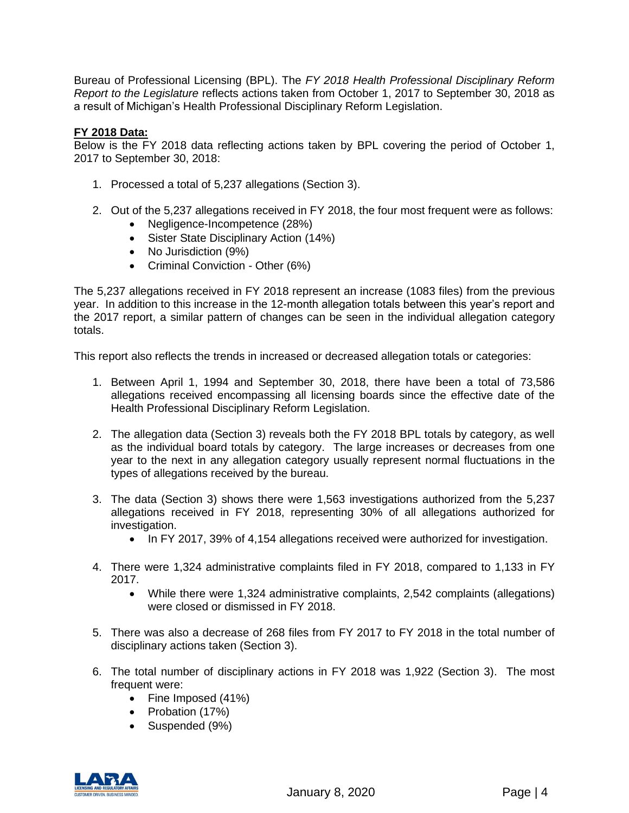Bureau of Professional Licensing (BPL). The *FY 2018 Health Professional Disciplinary Reform Report to the Legislature* reflects actions taken from October 1, 2017 to September 30, 2018 as a result of Michigan's Health Professional Disciplinary Reform Legislation.

#### **FY 2018 Data:**

Below is the FY 2018 data reflecting actions taken by BPL covering the period of October 1, 2017 to September 30, 2018:

- 1. Processed a total of 5,237 allegations (Section 3).
- 2. Out of the 5,237 allegations received in FY 2018, the four most frequent were as follows:
	- Negligence-Incompetence (28%)
	- Sister State Disciplinary Action (14%)
	- No Jurisdiction (9%)
	- Criminal Conviction Other (6%)

The 5,237 allegations received in FY 2018 represent an increase (1083 files) from the previous year. In addition to this increase in the 12-month allegation totals between this year's report and the 2017 report, a similar pattern of changes can be seen in the individual allegation category totals.

This report also reflects the trends in increased or decreased allegation totals or categories:

- 1. Between April 1, 1994 and September 30, 2018, there have been a total of 73,586 allegations received encompassing all licensing boards since the effective date of the Health Professional Disciplinary Reform Legislation.
- 2. The allegation data (Section 3) reveals both the FY 2018 BPL totals by category, as well as the individual board totals by category. The large increases or decreases from one year to the next in any allegation category usually represent normal fluctuations in the types of allegations received by the bureau.
- 3. The data (Section 3) shows there were 1,563 investigations authorized from the 5,237 allegations received in FY 2018, representing 30% of all allegations authorized for investigation.
	- In FY 2017, 39% of 4,154 allegations received were authorized for investigation.
- 4. There were 1,324 administrative complaints filed in FY 2018, compared to 1,133 in FY 2017.
	- While there were 1,324 administrative complaints, 2,542 complaints (allegations) were closed or dismissed in FY 2018.
- 5. There was also a decrease of 268 files from FY 2017 to FY 2018 in the total number of disciplinary actions taken (Section 3).
- 6. The total number of disciplinary actions in FY 2018 was 1,922 (Section 3). The most frequent were:
	- Fine Imposed (41%)
	- Probation (17%)
	- Suspended (9%)

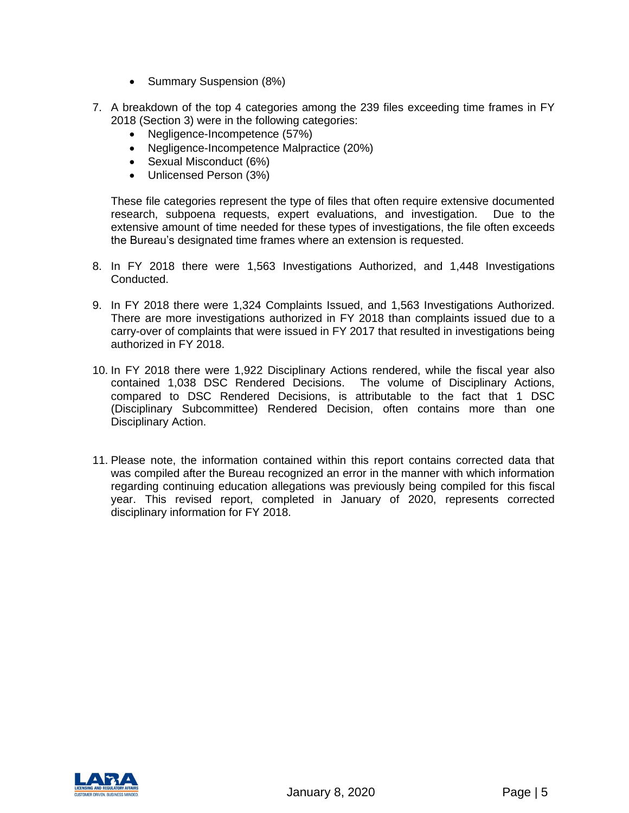- Summary Suspension (8%)
- 7. A breakdown of the top 4 categories among the 239 files exceeding time frames in FY 2018 (Section 3) were in the following categories:
	- Negligence-Incompetence (57%)
	- Negligence-Incompetence Malpractice (20%)
	- Sexual Misconduct (6%)
	- Unlicensed Person (3%)

These file categories represent the type of files that often require extensive documented research, subpoena requests, expert evaluations, and investigation. Due to the extensive amount of time needed for these types of investigations, the file often exceeds the Bureau's designated time frames where an extension is requested.

- 8. In FY 2018 there were 1,563 Investigations Authorized, and 1,448 Investigations Conducted.
- 9. In FY 2018 there were 1,324 Complaints Issued, and 1,563 Investigations Authorized. There are more investigations authorized in FY 2018 than complaints issued due to a carry-over of complaints that were issued in FY 2017 that resulted in investigations being authorized in FY 2018.
- 10. In FY 2018 there were 1,922 Disciplinary Actions rendered, while the fiscal year also contained 1,038 DSC Rendered Decisions. The volume of Disciplinary Actions, compared to DSC Rendered Decisions, is attributable to the fact that 1 DSC (Disciplinary Subcommittee) Rendered Decision, often contains more than one Disciplinary Action.
- 11. Please note, the information contained within this report contains corrected data that was compiled after the Bureau recognized an error in the manner with which information regarding continuing education allegations was previously being compiled for this fiscal year. This revised report, completed in January of 2020, represents corrected disciplinary information for FY 2018.